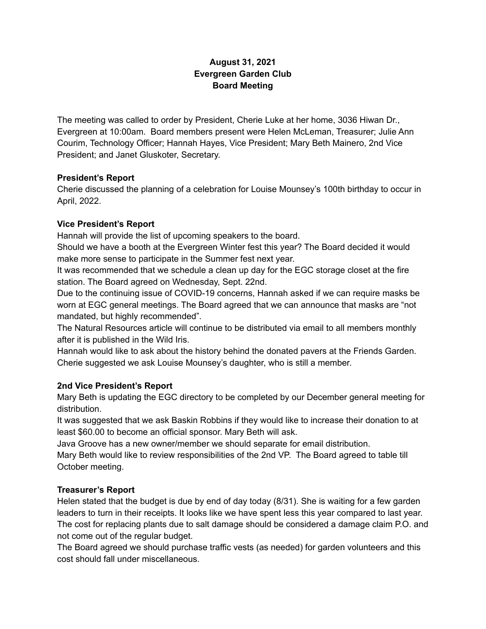## **August 31, 2021 Evergreen Garden Club Board Meeting**

The meeting was called to order by President, Cherie Luke at her home, 3036 Hiwan Dr., Evergreen at 10:00am. Board members present were Helen McLeman, Treasurer; Julie Ann Courim, Technology Officer; Hannah Hayes, Vice President; Mary Beth Mainero, 2nd Vice President; and Janet Gluskoter, Secretary.

#### **President's Report**

Cherie discussed the planning of a celebration for Louise Mounsey's 100th birthday to occur in April, 2022.

#### **Vice President's Report**

Hannah will provide the list of upcoming speakers to the board.

Should we have a booth at the Evergreen Winter fest this year? The Board decided it would make more sense to participate in the Summer fest next year.

It was recommended that we schedule a clean up day for the EGC storage closet at the fire station. The Board agreed on Wednesday, Sept. 22nd.

Due to the continuing issue of COVID-19 concerns, Hannah asked if we can require masks be worn at EGC general meetings. The Board agreed that we can announce that masks are "not mandated, but highly recommended".

The Natural Resources article will continue to be distributed via email to all members monthly after it is published in the Wild Iris.

Hannah would like to ask about the history behind the donated pavers at the Friends Garden. Cherie suggested we ask Louise Mounsey's daughter, who is still a member.

### **2nd Vice President's Report**

Mary Beth is updating the EGC directory to be completed by our December general meeting for distribution.

It was suggested that we ask Baskin Robbins if they would like to increase their donation to at least \$60.00 to become an official sponsor. Mary Beth will ask.

Java Groove has a new owner/member we should separate for email distribution.

Mary Beth would like to review responsibilities of the 2nd VP. The Board agreed to table till October meeting.

### **Treasurer's Report**

Helen stated that the budget is due by end of day today (8/31). She is waiting for a few garden leaders to turn in their receipts. It looks like we have spent less this year compared to last year. The cost for replacing plants due to salt damage should be considered a damage claim P.O. and not come out of the regular budget.

The Board agreed we should purchase traffic vests (as needed) for garden volunteers and this cost should fall under miscellaneous.